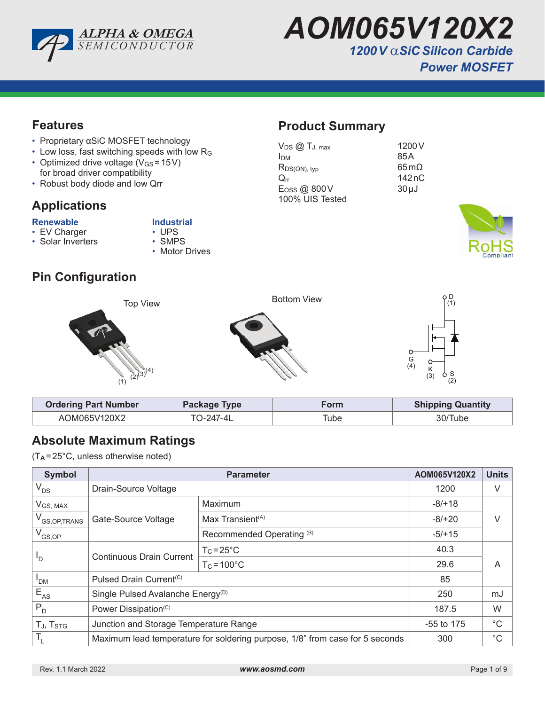

*AOM065V120X2 1200V* α*SiC Silicon Carbide Power MOSFET* 

**Product Summary**

100% UIS Tested

 $V_{DS}$   $\textcircled{1}$   $T_{J, max}$  1200 V  $I<sub>DM</sub>$  85A  $R_{DS(ON), typ}$  65 m $\Omega$  $Q_{rr}$  142 nC  $E$ <sub>OSS</sub> @ 800V 30µJ

#### **Features**

- Proprietary αSiC MOSFET technology
- Low loss, fast switching speeds with low R<sup>G</sup>
- Optimized drive voltage  $(V_{GS} = 15V)$ for broad driver compatibility
- Robust body diode and low Qrr

### **Applications**

# **Renewable Industrial**<br> **•** EV Charger **1998 •** UPS

- EV Charger UPS<br>• Solar Inverters SMPS
	-
- $\cdot$  Solar Inverters
- 
- 
- Motor Drives

## **Pin Configuration**



| <b>Ordering Part Number</b> | Package Type | Form | <b>Shipping Quantity</b> |
|-----------------------------|--------------|------|--------------------------|
| AOM065V120X2                | TN-247-41    | Гube | 30/Tube                  |

### **Absolute Maximum Ratings**

(T**<sup>A</sup>** =25°C, unless otherwise noted)

| <b>Symbol</b>                     |                                                                              | AOM065V120X2                 | <b>Units</b> |   |  |
|-----------------------------------|------------------------------------------------------------------------------|------------------------------|--------------|---|--|
| $V_{DS}$                          | Drain-Source Voltage                                                         | 1200                         | V            |   |  |
| $V_{GS, MAX}$                     |                                                                              | Maximum                      | $-8/+18$     |   |  |
| V <sub>GS, OP, TRANS</sub>        | Gate-Source Voltage                                                          | Max Transient <sup>(A)</sup> | $-8/+20$     |   |  |
| $V_{GS,OP}$                       |                                                                              | Recommended Operating (B)    | $-5/+15$     |   |  |
| 'D                                | <b>Continuous Drain Current</b>                                              | $T_c = 25^{\circ}C$          | 40.3         |   |  |
|                                   |                                                                              | $T_c = 100^{\circ}$ C        | 29.6         | A |  |
| <sup>I</sup> DM                   | Pulsed Drain Current <sup>(C)</sup>                                          | 85                           |              |   |  |
| $E_{AS}$                          | Single Pulsed Avalanche Energy <sup>(D)</sup>                                | 250                          | mJ           |   |  |
| $P_{D}$                           | Power Dissipation <sup>(C)</sup>                                             | 187.5                        | W            |   |  |
| T <sub>J</sub> , T <sub>STG</sub> | Junction and Storage Temperature Range                                       | $-55$ to 175                 | $^{\circ}C$  |   |  |
| T,                                | Maximum lead temperature for soldering purpose, 1/8" from case for 5 seconds | 300                          | $^{\circ}C$  |   |  |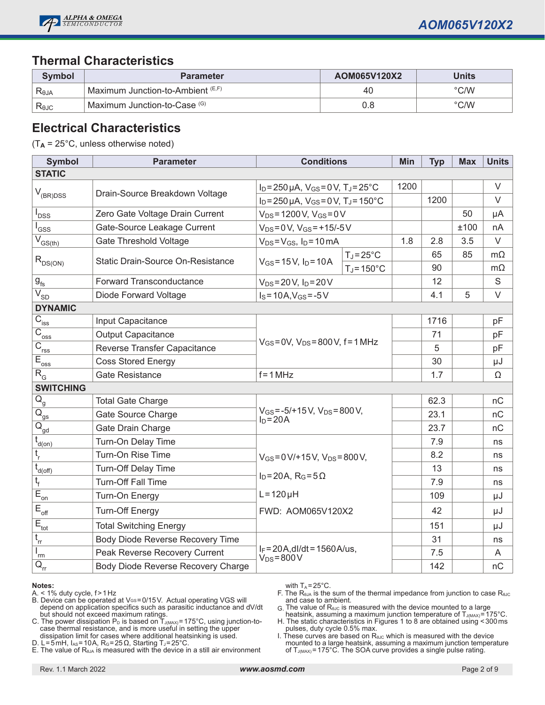

#### **Thermal Characteristics**

| Symbol         | <b>Parameter</b>                  | AOM065V120X2 | Units |
|----------------|-----------------------------------|--------------|-------|
| Reja           | Maximum Junction-to-Ambient (E,F) | 40           | °C/W  |
| $R_{\theta$ JC | Maximum Junction-to-Case (G)      | 0.8          | °C/W  |

#### **Electrical Characteristics**

(T**A** = 25°C, unless otherwise noted)

| <b>Symbol</b>                         | <b>Parameter</b>                   | <b>Conditions</b>                                                                                                    |                      | Min  | <b>Typ</b> | <b>Max</b> | <b>Units</b> |
|---------------------------------------|------------------------------------|----------------------------------------------------------------------------------------------------------------------|----------------------|------|------------|------------|--------------|
| <b>STATIC</b>                         |                                    |                                                                                                                      |                      |      |            |            |              |
|                                       | Drain-Source Breakdown Voltage     | $I_D = 250 \,\mu A$ , $V_{GS} = 0 \,\text{V}$ , $T_J = 25 \,^{\circ}\text{C}$                                        |                      | 1200 |            |            | $\vee$       |
| $\mathsf{V}_{\mathsf{(BR)DSS}}$       |                                    | $I_D = 250 \mu A$ , $V_{GS} = 0 V$ , $T_J = 150^{\circ}C$                                                            |                      |      | 1200       |            | $\vee$       |
| <b>DSS</b>                            | Zero Gate Voltage Drain Current    | $V_{DS} = 1200 V$ , $V_{GS} = 0V$                                                                                    |                      |      |            | 50         | μA           |
| GSS                                   | Gate-Source Leakage Current        | $V_{DS} = 0 V$ , $V_{GS} = +15/-5 V$                                                                                 |                      |      |            | ±100       | nA           |
| $\overline{V}_{GS(th)}$               | <b>Gate Threshold Voltage</b>      | $V_{DS} = V_{GS}$ , $I_D = 10 \text{ mA}$                                                                            |                      | 1.8  | 2.8        | 3.5        | $\vee$       |
|                                       | Static Drain-Source On-Resistance  | $V_{GS} = 15 V$ , $I_D = 10 A$                                                                                       | $T_J = 25^{\circ}C$  |      | 65         | 85         | $m\Omega$    |
| $R_{DS(ON)}$                          |                                    |                                                                                                                      | $T_J = 150^{\circ}C$ |      | 90         |            | $m\Omega$    |
| $\mathbf{g}_{\text{fs}}$              | <b>Forward Transconductance</b>    | $V_{DS} = 20 V$ , $I_D = 20 V$                                                                                       |                      |      | 12         |            | $\mathbf S$  |
| $\overline{V_{SD}}$                   | Diode Forward Voltage              | $I_S = 10A$ , $V_{GS} = -5V$                                                                                         |                      |      | 4.1        | 5          | $\vee$       |
| <b>DYNAMIC</b>                        |                                    |                                                                                                                      |                      |      |            |            |              |
| $C_{\text{iss}}$                      | Input Capacitance                  |                                                                                                                      |                      |      | 1716       |            | pF           |
| $\overline{C}_{\underline{oss}}$      | <b>Output Capacitance</b>          | $V_{GS} = 0V$ , $V_{DS} = 800 V$ , f = 1 MHz                                                                         |                      |      | 71         |            | pF           |
| $\overline{C}_{\underline{rss}}$      | Reverse Transfer Capacitance       |                                                                                                                      |                      |      | 5          |            | pF           |
| $E_{\underline{oss}}$                 | <b>Coss Stored Energy</b>          |                                                                                                                      |                      |      | 30         |            | μJ           |
| $R_{G}$                               | Gate Resistance                    | $f = 1 MHz$                                                                                                          |                      | 1.7  |            | Ω          |              |
| <b>SWITCHING</b>                      |                                    |                                                                                                                      |                      |      |            |            |              |
| $Q_{\rm g}$                           | <b>Total Gate Charge</b>           |                                                                                                                      |                      |      | 62.3       |            | nC           |
| $\overline{\mathsf{Q}}_{\mathsf{gs}}$ | Gate Source Charge                 | $V_{GS} = -5/+15 V$ , $V_{DS} = 800 V$ ,<br>$ID=20A$                                                                 |                      |      | 23.1       |            | nC           |
| $\overline{Q}_{\underline{gd}}$       | Gate Drain Charge                  |                                                                                                                      |                      |      | 23.7       |            | nC           |
| t<br>d(on)                            | Turn-On Delay Time                 | $V_{GS} = 0 V/ + 15 V$ , $V_{DS} = 800 V$ ,<br>$I_D = 20A$ , $R_G = 5\Omega$<br>$L = 120 \mu H$<br>FWD: AOM065V120X2 |                      |      | 7.9        |            | ns           |
| $t_{\rm r}$                           | Turn-On Rise Time                  |                                                                                                                      |                      |      | 8.2        |            | ns           |
| $t_{\underline{d(off)}}$              | Turn-Off Delay Time                |                                                                                                                      |                      |      | 13         |            | ns           |
| $t_{\rm f}$                           | <b>Turn-Off Fall Time</b>          |                                                                                                                      |                      |      | 7.9        |            | ns           |
| $\overline{E}_{\underline{on}}$       | Turn-On Energy                     |                                                                                                                      |                      |      | 109        |            | μJ           |
| $E_{\text{off}}$                      | <b>Turn-Off Energy</b>             |                                                                                                                      |                      |      | 42         |            | μJ           |
| $E_{\rm tot}$                         | <b>Total Switching Energy</b>      |                                                                                                                      |                      |      | 151        |            | μJ           |
| $t_{rr}$                              | Body Diode Reverse Recovery Time   |                                                                                                                      |                      |      | 31         |            | ns           |
| rm                                    | Peak Reverse Recovery Current      | $I_F = 20A$ , dl/dt = 1560A/us,<br>$V_{DS} = 800 V$                                                                  |                      |      | 7.5        |            | A            |
| $\mathsf{Q}_{\mathsf{rr}}$            | Body Diode Reverse Recovery Charge |                                                                                                                      |                      |      | 142        |            | nC           |

#### **Notes:**

- $A \le 1\%$  duty cycle,  $f > 1$  Hz
- B. Device can be operated at Vേs=0/15 V. Actual operating VGS will depend on application specifics such as parasitic inductance and dV/dt but should not exceed maximum ratings.
- C. The power dissipation  $\mathsf{P}_\mathsf{D}$  is based on  $\mathsf{T}_\mathsf{J(MAX)}$ =175°C, using junction-tocase thermal resistance, and is more useful in setting the upper dissipation limit for cases where additional heatsinking is used.
- D. L=5mH, I<sub>AS</sub>=10A, R<sub>G</sub>=25Ω, Starting T<sub>J</sub>=25°C.
- E. The value of  $R_{\theta_{\theta A}}$  is measured with the device in a still air environment

with  $T_A = 25^{\circ}$ C.

- F. The  $R_{\theta JA}$  is the sum of the thermal impedance from junction to case  $R_{\theta JC}$ and case to ambient.
- G. The value of  $R_{\theta\text{UC}}$  is measured with the device mounted to a large
- heatsink, assuming a maximum junction temperature of T $_{\rm J(MAX)}$ =175°C. H. The static characteristics in Figures 1 to 8 are obtained using <300ms pulses, duty cycle 0.5% max.
- I. These curves are based on  $R_{\theta\text{UC}}$  which is measured with the device mounted to a large heatsink, assuming a maximum junction temperature<br>of T<sub>J(MAX)</sub>=175°C. The SOA curve provides a single pulse rating.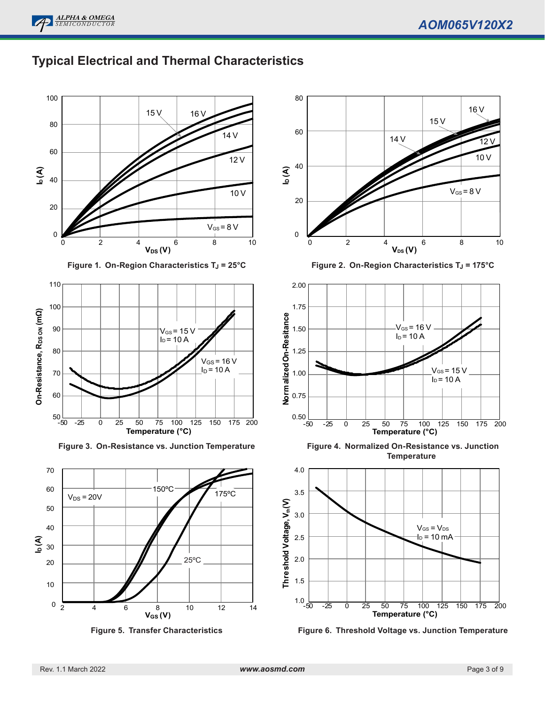

### **Typical Electrical and Thermal Characteristics**



**Figure 1. On-Region Characteristics T<sub>J</sub> = 25°C** 



**Figure 3. On-Resistance vs. Junction Temperature**









**Figure 4. Normalized On-Resistance vs. Junction Temperature**



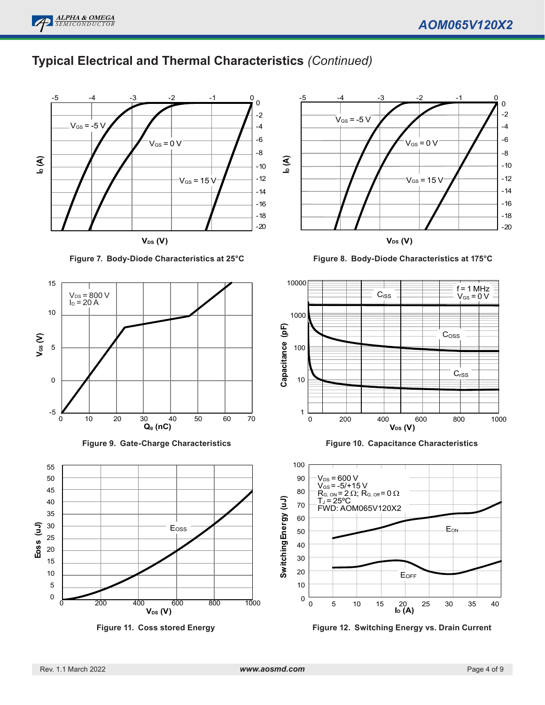## **Typical Electrical and Thermal Characteristics** *(Continued)*



**Figure 7. Body-Diode Characteristics at 25°C**









**V<sub>DS</sub>** (**V**)

**Figure 8. Body-Diode Characteristics at 175°C**



**Figure 10. Capacitance Characteristics**



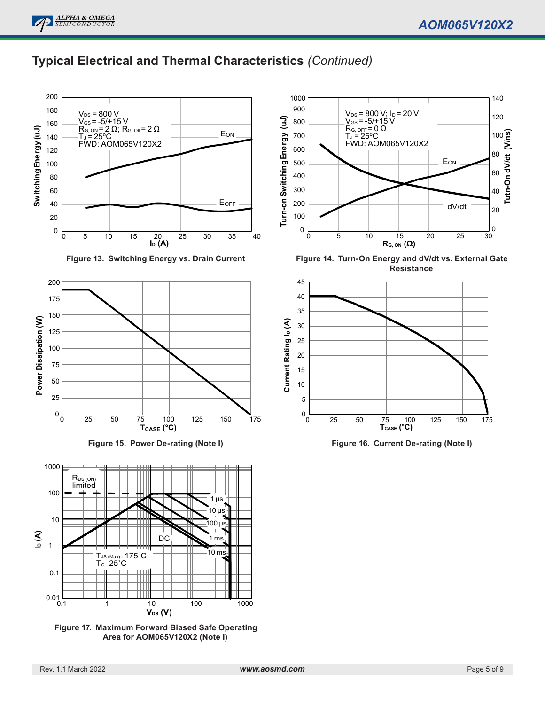### **Typical Electrical and Thermal Characteristics** *(Continued)*



**Figure 13. Switching Energy vs. Drain Current**







**Figure 17. Maximum Forward Biased Safe Operating Area for AOM065V120X2 (Note I)**



**Figure 14. Turn-On Energy and dV/dt vs. External Gate Resistance**



**Figure 16. Current De-rating (Note I)**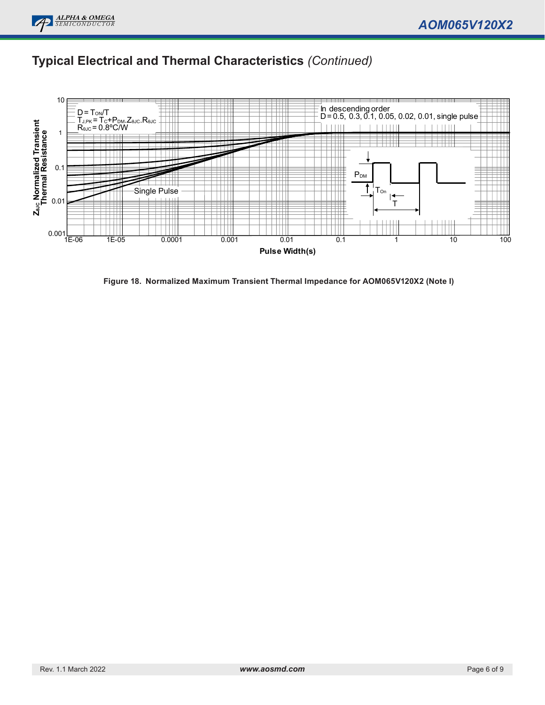

## **Typical Electrical and Thermal Characteristics** *(Continued)*



**Figure 18. Normalized Maximum Transient Thermal Impedance for AOM065V120X2 (Note I)**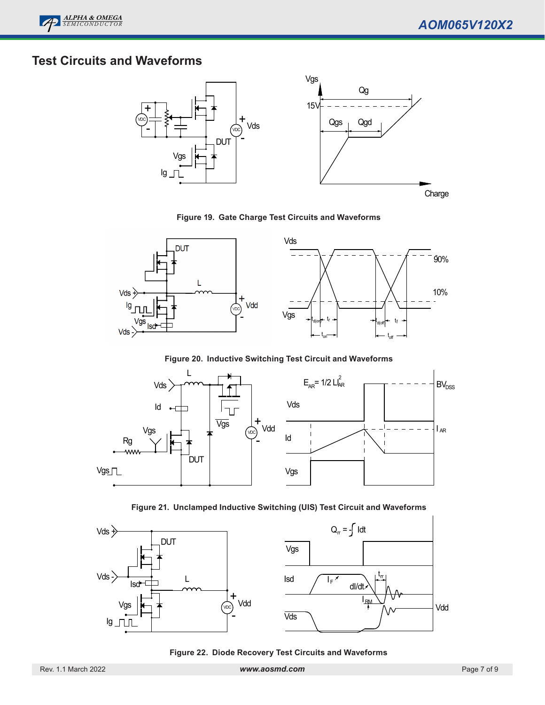

### **Test Circuits and Waveforms**



**Figure 19. Gate Charge Test Circuits and Waveforms**



**Figure 20. Inductive Switching Test Circuit and Waveforms**



**Figure 21. Unclamped Inductive Switching (UIS) Test Circuit and Waveforms**



**Figure 22. Diode Recovery Test Circuits and Waveforms**

Rev. 1.1 March 2022 *www.aosmd.com* Page 7 of 9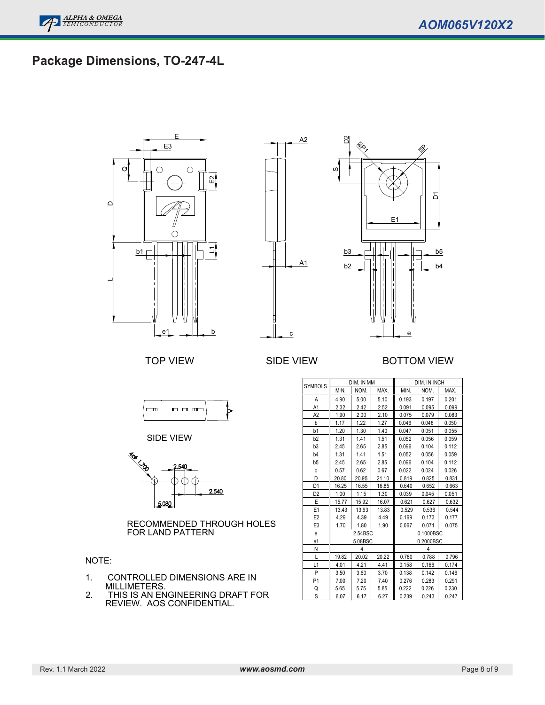## **Package Dimensions, TO-247-4L**





#### TOP VIEW SIDE VIEW BOTTOM VIEW



SIDE VIEW



RECOMMENDED THROUGH HOLES FOR LAND PATTERN

#### NOTE:

- 1. CONTROLLED DIMENSIONS ARE IN MILLIMETERS.
- 2. THIS IS AN ENGINEERING DRAFT FOR REVIEW. AOS CONFIDENTIAL.

| <b>SYMBOLS</b> | DIM. IN MM |       |       | DIM. IN INCH            |           |       |
|----------------|------------|-------|-------|-------------------------|-----------|-------|
|                | MIN.       | NOM.  | MAX.  | MIN.                    | NOM.      | MAX.  |
| Α              | 4.90       | 5.00  | 5.10  | 0.193                   | 0.197     | 0.201 |
| A1             | 2.32       | 2.42  | 2.52  | 0.091                   | 0.095     | 0.099 |
| A <sub>2</sub> | 1.90       | 2.00  | 2.10  | 0.075                   | 0.079     | 0.083 |
| b              | 1.17       | 1.22  | 1.27  | 0.046                   | 0.048     | 0.050 |
| b1             | 1.20       | 1.30  | 1.40  | 0.047                   | 0.051     | 0.055 |
| b <sub>2</sub> | 1.31       | 1.41  | 1.51  | 0.052                   | 0.056     | 0.059 |
| b <sub>3</sub> | 2.45       | 2.65  | 2.85  | 0.096                   | 0.104     | 0.112 |
| b <sub>4</sub> | 1.31       | 1.41  | 1.51  | 0.052<br>0.056<br>0.059 |           |       |
| b <sub>5</sub> | 2.45       | 2.65  | 2.85  | 0.096                   | 0.104     | 0.112 |
| C              | 0.57       | 0.62  | 0.67  | 0.022                   | 0.024     | 0.026 |
| D              | 20.80      | 20.95 | 21.10 | 0.819                   | 0.825     | 0.831 |
| D <sub>1</sub> | 16.25      | 16.55 | 16.85 | 0.640                   | 0.652     | 0.663 |
| D <sub>2</sub> | 1.00       | 1.15  | 1.30  | 0.039                   | 0.045     | 0.051 |
| E              | 15.77      | 15.92 | 16.07 | 0.621                   | 0.627     | 0.632 |
| E <sub>1</sub> | 13.43      | 13.63 | 13.83 | 0.529                   | 0.536     | 0.544 |
| E <sub>2</sub> | 4.29       | 4.39  | 4.49  | 0.169                   | 0.173     | 0.177 |
| E <sub>3</sub> | 1.70       | 1.80  | 1.90  | 0.067<br>0.071<br>0.075 |           |       |
| e              | 2.54BSC    |       |       |                         | 0.1000BSC |       |
| e1             | 5.08BSC    |       |       |                         | 0.2000BSC |       |
| N              | 4          |       |       |                         | 4         |       |
| L              | 19.82      | 20.02 | 20.22 | 0.780                   | 0.788     | 0.796 |
| L1             | 4.01       | 4.21  | 4.41  | 0.158                   | 0.166     | 0.174 |
| P              | 3.50       | 3.60  | 3.70  | 0.138                   | 0.142     | 0.146 |
| P <sub>1</sub> | 7.00       | 7.20  | 7.40  | 0.276                   | 0.283     | 0.291 |
| Q              | 5.65       | 5.75  | 5.85  | 0.222                   | 0.226     | 0.230 |
| S              | 6.07       | 6.17  | 6.27  | 0.239                   | 0.243     | 0.247 |